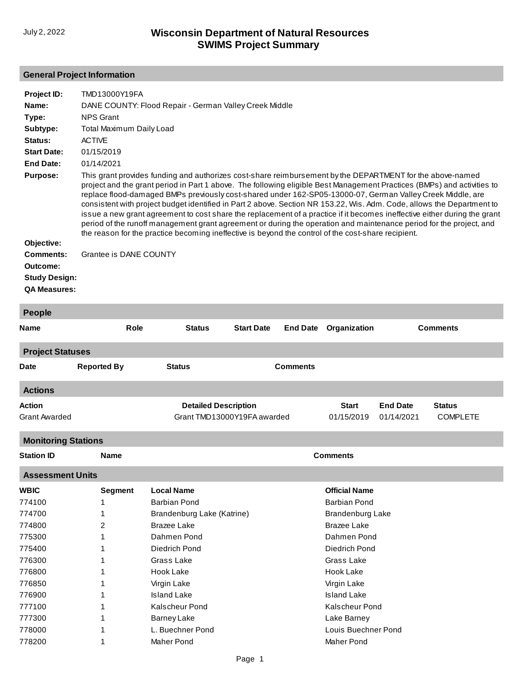# **General Project Information**

| Project ID:<br>Name:<br>Type:<br>Subtype:<br>Status:                 | TMD13000Y19FA<br>DANE COUNTY: Flood Repair - German Valley Creek Middle<br><b>NPS Grant</b><br>Total Maximum Daily Load<br><b>ACTIVE</b>                                                                                                                                                                                                                                                                                                                                                                                                                                                                                                                                                                                                                                                                                                |
|----------------------------------------------------------------------|-----------------------------------------------------------------------------------------------------------------------------------------------------------------------------------------------------------------------------------------------------------------------------------------------------------------------------------------------------------------------------------------------------------------------------------------------------------------------------------------------------------------------------------------------------------------------------------------------------------------------------------------------------------------------------------------------------------------------------------------------------------------------------------------------------------------------------------------|
| <b>Start Date:</b>                                                   | 01/15/2019                                                                                                                                                                                                                                                                                                                                                                                                                                                                                                                                                                                                                                                                                                                                                                                                                              |
| End Date:                                                            | 01/14/2021                                                                                                                                                                                                                                                                                                                                                                                                                                                                                                                                                                                                                                                                                                                                                                                                                              |
| <b>Purpose:</b>                                                      | This grant provides funding and authorizes cost-share reimbursement by the DEPARTMENT for the above-named<br>project and the grant period in Part 1 above. The following eligible Best Management Practices (BMPs) and activities to<br>replace flood-damaged BMPs previously cost-shared under 162-SP05-13000-07, German Valley Creek Middle, are<br>consistent with project budget identified in Part 2 above. Section NR 153.22, Wis. Adm. Code, allows the Department to<br>issue a new grant agreement to cost share the replacement of a practice if it becomes ineffective either during the grant<br>period of the runoff management grant agreement or during the operation and maintenance period for the project, and<br>the reason for the practice becoming ineffective is beyond the control of the cost-share recipient. |
| Objective:                                                           |                                                                                                                                                                                                                                                                                                                                                                                                                                                                                                                                                                                                                                                                                                                                                                                                                                         |
| Comments:<br>Outcome:<br><b>Study Design:</b><br><b>QA Measures:</b> | Grantee is DANE COUNTY                                                                                                                                                                                                                                                                                                                                                                                                                                                                                                                                                                                                                                                                                                                                                                                                                  |

| People                                |                    |                                                            |                   |                 |                            |                               |                                  |  |
|---------------------------------------|--------------------|------------------------------------------------------------|-------------------|-----------------|----------------------------|-------------------------------|----------------------------------|--|
| <b>Name</b>                           | Role               | <b>Status</b>                                              | <b>Start Date</b> | <b>End Date</b> | Organization               |                               | <b>Comments</b>                  |  |
| <b>Project Statuses</b>               |                    |                                                            |                   |                 |                            |                               |                                  |  |
| <b>Date</b>                           | <b>Reported By</b> | <b>Status</b>                                              |                   | <b>Comments</b> |                            |                               |                                  |  |
| <b>Actions</b>                        |                    |                                                            |                   |                 |                            |                               |                                  |  |
| <b>Action</b><br><b>Grant Awarded</b> |                    | <b>Detailed Description</b><br>Grant TMD13000Y19FA awarded |                   |                 | <b>Start</b><br>01/15/2019 | <b>End Date</b><br>01/14/2021 | <b>Status</b><br><b>COMPLETE</b> |  |
| <b>Monitoring Stations</b>            |                    |                                                            |                   |                 |                            |                               |                                  |  |
| <b>Station ID</b>                     | <b>Name</b>        |                                                            |                   |                 | <b>Comments</b>            |                               |                                  |  |
| <b>Assessment Units</b>               |                    |                                                            |                   |                 |                            |                               |                                  |  |
| <b>WBIC</b>                           | <b>Segment</b>     | <b>Local Name</b>                                          |                   |                 | <b>Official Name</b>       |                               |                                  |  |
| 774100                                | 1                  | <b>Barbian Pond</b>                                        |                   |                 | <b>Barbian Pond</b>        |                               |                                  |  |
| 774700                                | 1                  | Brandenburg Lake (Katrine)                                 |                   |                 | <b>Brandenburg Lake</b>    |                               |                                  |  |
| 774800                                | 2                  | <b>Brazee Lake</b>                                         |                   |                 | <b>Brazee Lake</b>         |                               |                                  |  |
| 775300                                |                    | Dahmen Pond                                                |                   |                 | Dahmen Pond                |                               |                                  |  |
| 775400                                |                    | Diedrich Pond                                              |                   |                 | Diedrich Pond              |                               |                                  |  |
| 776300                                |                    | Grass Lake                                                 |                   |                 | Grass Lake                 |                               |                                  |  |
| 776800                                |                    | Hook Lake                                                  |                   |                 | Hook Lake                  |                               |                                  |  |
| 776850                                |                    | Virgin Lake                                                |                   |                 | Virgin Lake                |                               |                                  |  |
| 776900                                |                    | <b>Island Lake</b>                                         |                   |                 | <b>Island Lake</b>         |                               |                                  |  |
| 777100                                |                    | <b>Kalscheur Pond</b>                                      |                   |                 | <b>Kalscheur Pond</b>      |                               |                                  |  |
| 777300                                |                    | <b>Barney Lake</b>                                         |                   |                 | Lake Barney                |                               |                                  |  |
| 778000                                |                    | L. Buechner Pond                                           |                   |                 | Louis Buechner Pond        |                               |                                  |  |
| 778200                                | 1                  | Maher Pond                                                 |                   |                 | Maher Pond                 |                               |                                  |  |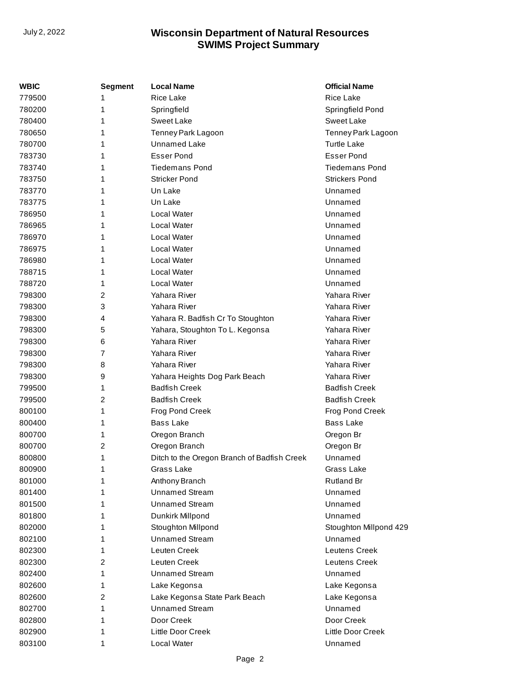| <b>WBIC</b> | Segment | <b>Local Name</b>                           | <b>Official Name</b>   |
|-------------|---------|---------------------------------------------|------------------------|
| 779500      | 1       | Rice Lake                                   | <b>Rice Lake</b>       |
| 780200      | 1       | Springfield                                 | Springfield Pond       |
| 780400      | 1       | <b>Sweet Lake</b>                           | <b>Sweet Lake</b>      |
| 780650      | 1       | Tenney Park Lagoon                          | Tenney Park Lagoon     |
| 780700      | 1       | <b>Unnamed Lake</b>                         | <b>Turtle Lake</b>     |
| 783730      | 1       | <b>Esser Pond</b>                           | <b>Esser Pond</b>      |
| 783740      | 1       | <b>Tiedemans Pond</b>                       | <b>Tiedemans Pond</b>  |
| 783750      | 1       | <b>Stricker Pond</b>                        | <b>Strickers Pond</b>  |
| 783770      | 1       | Un Lake                                     | Unnamed                |
| 783775      | 1       | Un Lake                                     | Unnamed                |
| 786950      | 1       | Local Water                                 | Unnamed                |
| 786965      | 1       | Local Water                                 | Unnamed                |
| 786970      | 1       | Local Water                                 | Unnamed                |
| 786975      | 1       | Local Water                                 | Unnamed                |
| 786980      | 1       | Local Water                                 | Unnamed                |
| 788715      | 1       | Local Water                                 | Unnamed                |
| 788720      | 1       | Local Water                                 | Unnamed                |
| 798300      | 2       | Yahara River                                | Yahara River           |
| 798300      | 3       | Yahara River                                | Yahara River           |
| 798300      | 4       | Yahara R. Badfish Cr To Stoughton           | Yahara River           |
| 798300      | 5       | Yahara, Stoughton To L. Kegonsa             | Yahara River           |
| 798300      | 6       | Yahara River                                | Yahara River           |
| 798300      | 7       | Yahara River                                | Yahara River           |
| 798300      | 8       | Yahara River                                | Yahara River           |
| 798300      | 9       | Yahara Heights Dog Park Beach               | Yahara River           |
| 799500      | 1       | <b>Badfish Creek</b>                        | <b>Badfish Creek</b>   |
| 799500      | 2       | <b>Badfish Creek</b>                        | <b>Badfish Creek</b>   |
| 800100      | 1       | Frog Pond Creek                             | Frog Pond Creek        |
| 800400      | 1       | <b>Bass Lake</b>                            | <b>Bass Lake</b>       |
| 800700      | 1       | Oregon Branch                               | Oregon Br              |
| 800700      | 2       | Oregon Branch                               | Oregon Br              |
| 800800      | 1       | Ditch to the Oregon Branch of Badfish Creek | Unnamed                |
| 800900      | 1       | Grass Lake                                  | Grass Lake             |
| 801000      | 1       | Anthony Branch                              | <b>Rutland Br</b>      |
| 801400      | 1       | <b>Unnamed Stream</b>                       | Unnamed                |
| 801500      | 1       | <b>Unnamed Stream</b>                       | Unnamed                |
| 801800      | 1       | Dunkirk Millpond                            | Unnamed                |
| 802000      | 1       | Stoughton Millpond                          | Stoughton Millpond 429 |
| 802100      | 1       | <b>Unnamed Stream</b>                       | Unnamed                |
| 802300      | 1       | Leuten Creek                                | <b>Leutens Creek</b>   |
| 802300      | 2       | Leuten Creek                                | Leutens Creek          |
| 802400      | 1       | <b>Unnamed Stream</b>                       | Unnamed                |
| 802600      | 1       | Lake Kegonsa                                | Lake Kegonsa           |
| 802600      | 2       | Lake Kegonsa State Park Beach               | Lake Kegonsa           |
| 802700      | 1       | <b>Unnamed Stream</b>                       | Unnamed                |
| 802800      | 1       | Door Creek                                  | Door Creek             |
| 802900      | 1       | Little Door Creek                           | Little Door Creek      |
| 803100      | 1       | Local Water                                 | Unnamed                |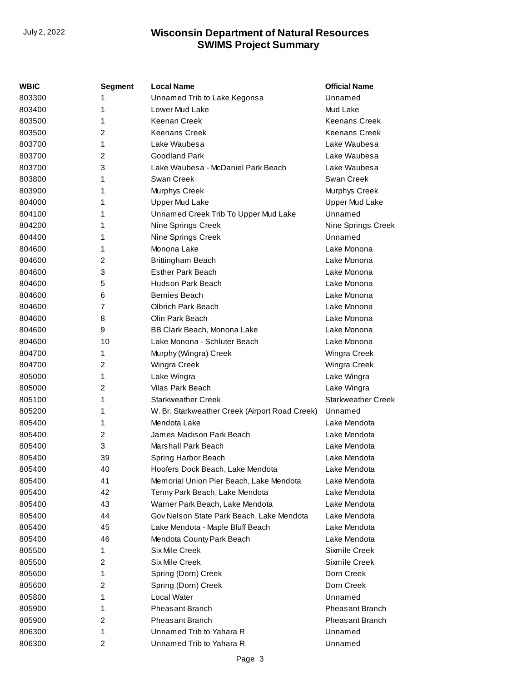| WBIC   | <b>Segment</b> | <b>Local Name</b>                              | <b>Official Name</b>      |
|--------|----------------|------------------------------------------------|---------------------------|
| 803300 | 1              | Unnamed Trib to Lake Kegonsa                   | Unnamed                   |
| 803400 | 1              | Lower Mud Lake                                 | Mud Lake                  |
| 803500 | 1              | Keenan Creek                                   | <b>Keenans Creek</b>      |
| 803500 | 2              | <b>Keenans Creek</b>                           | <b>Keenans Creek</b>      |
| 803700 | 1              | Lake Waubesa                                   | Lake Waubesa              |
| 803700 | $\overline{2}$ | <b>Goodland Park</b>                           | Lake Waubesa              |
| 803700 | 3              | Lake Waubesa - McDaniel Park Beach             | Lake Waubesa              |
| 803800 | 1              | Swan Creek                                     | Swan Creek                |
| 803900 | 1              | Murphys Creek                                  | Murphys Creek             |
| 804000 | 1              | <b>Upper Mud Lake</b>                          | <b>Upper Mud Lake</b>     |
| 804100 | 1              | Unnamed Creek Trib To Upper Mud Lake           | Unnamed                   |
| 804200 | 1              | Nine Springs Creek                             | Nine Springs Creek        |
| 804400 | 1              | Nine Springs Creek                             | Unnamed                   |
| 804600 | 1              | Monona Lake                                    | Lake Monona               |
| 804600 | 2              | Brittingham Beach                              | Lake Monona               |
| 804600 | 3              | <b>Esther Park Beach</b>                       | Lake Monona               |
| 804600 | 5              | <b>Hudson Park Beach</b>                       | Lake Monona               |
| 804600 | 6              | Bernies Beach                                  | Lake Monona               |
| 804600 | 7              | <b>Olbrich Park Beach</b>                      | Lake Monona               |
| 804600 | 8              | Olin Park Beach                                | Lake Monona               |
| 804600 | 9              | BB Clark Beach, Monona Lake                    | Lake Monona               |
| 804600 | 10             | Lake Monona - Schluter Beach                   | Lake Monona               |
| 804700 | 1              | Murphy (Wingra) Creek                          | Wingra Creek              |
| 804700 | 2              | Wingra Creek                                   | Wingra Creek              |
| 805000 | 1              | Lake Wingra                                    | Lake Wingra               |
| 805000 | 2              | Vilas Park Beach                               | Lake Wingra               |
| 805100 | 1              | Starkweather Creek                             | <b>Starkweather Creek</b> |
| 805200 | 1              | W. Br. Starkweather Creek (Airport Road Creek) | Unnamed                   |
| 805400 | 1              | Mendota Lake                                   | Lake Mendota              |
| 805400 | 2              | James Madison Park Beach                       | Lake Mendota              |
| 805400 | 3              | Marshall Park Beach                            | Lake Mendota              |
| 805400 | 39             | Spring Harbor Beach                            | Lake Mendota              |
| 805400 | 40             | Hoofers Dock Beach, Lake Mendota               | Lake Mendota              |
| 805400 | 41             | Memorial Union Pier Beach, Lake Mendota        | Lake Mendota              |
| 805400 | 42             | Tenny Park Beach, Lake Mendota                 | Lake Mendota              |
| 805400 | 43             | Warner Park Beach, Lake Mendota                | Lake Mendota              |
| 805400 | 44             | Gov Nelson State Park Beach, Lake Mendota      | Lake Mendota              |
| 805400 | 45             | Lake Mendota - Maple Bluff Beach               | Lake Mendota              |
| 805400 | 46             | Mendota County Park Beach                      | Lake Mendota              |
| 805500 | 1              | Six Mile Creek                                 | Sixmile Creek             |
| 805500 | 2              | <b>Six Mile Creek</b>                          | Sixmile Creek             |
| 805600 | 1              | Spring (Dorn) Creek                            | Dorn Creek                |
| 805600 | 2              | Spring (Dorn) Creek                            | Dorn Creek                |
| 805800 | 1              | Local Water                                    | Unnamed                   |
| 805900 | 1              | Pheasant Branch                                | <b>Pheasant Branch</b>    |
| 805900 | 2              | Pheasant Branch                                | Pheasant Branch           |
| 806300 | 1              | Unnamed Trib to Yahara R                       | Unnamed                   |
| 806300 | $\overline{c}$ | Unnamed Trib to Yahara R                       | Unnamed                   |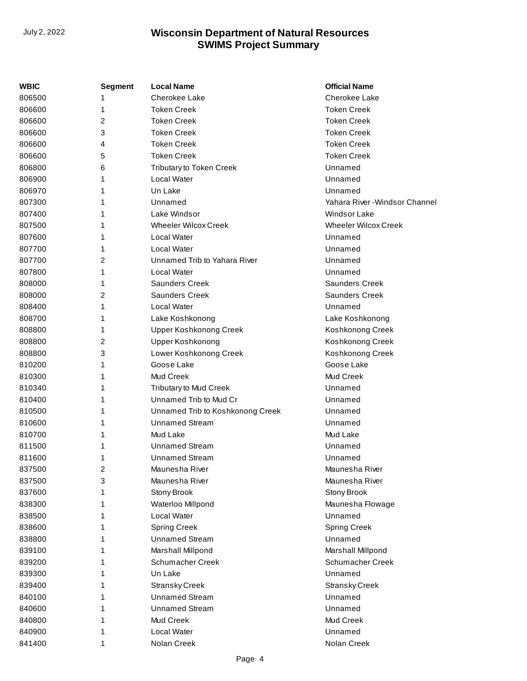| WBIC   | <b>Segment</b> | <b>Local Name</b>                | <b>Official Name</b>           |
|--------|----------------|----------------------------------|--------------------------------|
| 806500 |                | Cherokee Lake                    | Cherokee Lake                  |
| 806600 | 1              | <b>Token Creek</b>               | <b>Token Creek</b>             |
| 806600 | 2              | <b>Token Creek</b>               | <b>Token Creek</b>             |
| 806600 | 3              | <b>Token Creek</b>               | <b>Token Creek</b>             |
| 806600 | 4              | <b>Token Creek</b>               | <b>Token Creek</b>             |
| 806600 | 5              | <b>Token Creek</b>               | <b>Token Creek</b>             |
| 806800 | 6              | <b>Tributary to Token Creek</b>  | Unnamed                        |
| 806900 | 1              | Local Water                      | Unnamed                        |
| 806970 | 1              | Un Lake                          | Unnamed                        |
| 807300 | 1              | Unnamed                          | Yahara River - Windsor Channel |
| 807400 |                | Lake Windsor                     | Windsor Lake                   |
| 807500 | 1              | <b>Wheeler Wilcox Creek</b>      | <b>Wheeler Wilcox Creek</b>    |
| 807600 | 1              | Local Water                      | Unnamed                        |
| 807700 |                | <b>Local Water</b>               | Unnamed                        |
| 807700 | 2              | Unnamed Trib to Yahara River     | Unnamed                        |
| 807800 | 1              | <b>Local Water</b>               | Unnamed                        |
| 808000 | 1              | <b>Saunders Creek</b>            | <b>Saunders Creek</b>          |
| 808000 | 2              | <b>Saunders Creek</b>            | <b>Saunders Creek</b>          |
| 808400 | 1              | Local Water                      | Unnamed                        |
| 808700 | 1              | Lake Koshkonong                  | Lake Koshkonong                |
| 808800 | 1              | <b>Upper Koshkonong Creek</b>    | Koshkonong Creek               |
| 808800 | 2              | Upper Koshkonong                 | Koshkonong Creek               |
| 808800 | 3              | Lower Koshkonong Creek           | Koshkonong Creek               |
| 810200 | 1              | Goose Lake                       | Goose Lake                     |
| 810300 | 1              | Mud Creek                        | <b>Mud Creek</b>               |
| 810340 | 1              | <b>Tributary to Mud Creek</b>    | Unnamed                        |
| 810400 |                | Unnamed Trib to Mud Cr           | Unnamed                        |
| 810500 | 1              | Unnamed Trib to Koshkonong Creek | Unnamed                        |
| 810600 | 1              | <b>Unnamed Stream</b>            | Unnamed                        |
| 810700 | 1              | Mud Lake                         | Mud Lake                       |
| 811500 |                | Unnamed Stream                   | Unnamed                        |
| 811600 | 1              | <b>Unnamed Stream</b>            | Unnamed                        |
| 837500 | 2              | Maunesha River                   | Maunesha River                 |
| 837500 | 3              | Maunesha River                   | Maunesha River                 |
| 837600 |                | Stony Brook                      | Stony Brook                    |
| 838300 |                | Waterloo Millpond                | Maunesha Flowage               |
| 838500 |                | Local Water                      | Unnamed                        |
| 838600 | 1              | <b>Spring Creek</b>              | <b>Spring Creek</b>            |
| 838800 |                | <b>Unnamed Stream</b>            | Unnamed                        |
| 839100 | 1              | Marshall Millpond                | Marshall Millpond              |
| 839200 |                | Schumacher Creek                 | Schumacher Creek               |
| 839300 | 1              | Un Lake                          | Unnamed                        |
| 839400 |                | <b>Stransky Creek</b>            | <b>Stransky Creek</b>          |
| 840100 |                | <b>Unnamed Stream</b>            | Unnamed                        |
| 840600 |                | <b>Unnamed Stream</b>            | Unnamed                        |
| 840800 | 1              | Mud Creek                        | Mud Creek                      |
| 840900 | 1              | Local Water                      | Unnamed                        |
| 841400 | 1              | Nolan Creek                      | Nolan Creek                    |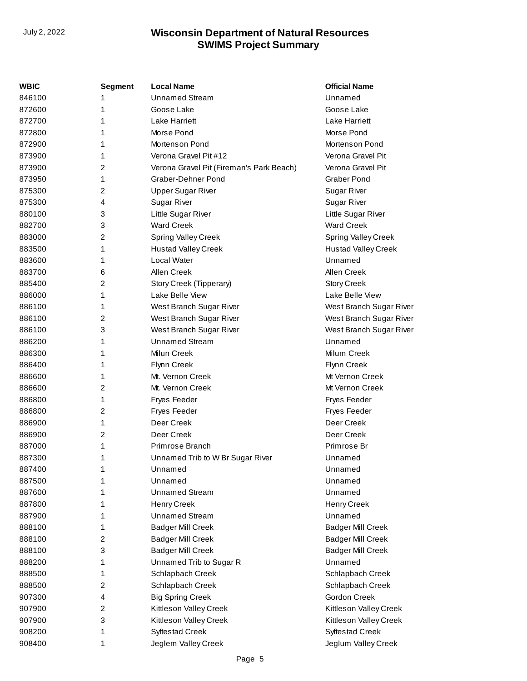| <b>WBIC</b> | <b>Segment</b>          | <b>Local Name</b>                        | <b>Official Name</b>       |
|-------------|-------------------------|------------------------------------------|----------------------------|
| 846100      | 1                       | <b>Unnamed Stream</b>                    | Unnamed                    |
| 872600      | 1                       | Goose Lake                               | Goose Lake                 |
| 872700      | 1                       | <b>Lake Harriett</b>                     | Lake Harriett              |
| 872800      | 1                       | Morse Pond                               | Morse Pond                 |
| 872900      | 1                       | Mortenson Pond                           | Mortenson Pond             |
| 873900      | 1                       | Verona Gravel Pit #12                    | Verona Gravel Pit          |
| 873900      | 2                       | Verona Gravel Pit (Fireman's Park Beach) | Verona Gravel Pit          |
| 873950      | 1                       | Graber-Dehner Pond                       | <b>Graber Pond</b>         |
| 875300      | 2                       | <b>Upper Sugar River</b>                 | <b>Sugar River</b>         |
| 875300      | 4                       | <b>Sugar River</b>                       | <b>Sugar River</b>         |
| 880100      | 3                       | Little Sugar River                       | Little Sugar River         |
| 882700      | 3                       | <b>Ward Creek</b>                        | <b>Ward Creek</b>          |
| 883000      | 2                       | <b>Spring Valley Creek</b>               | Spring Valley Creek        |
| 883500      | 1                       | <b>Hustad Valley Creek</b>               | <b>Hustad Valley Creek</b> |
| 883600      | 1                       | Local Water                              | Unnamed                    |
| 883700      | 6                       | Allen Creek                              | Allen Creek                |
| 885400      | 2                       | Story Creek (Tipperary)                  | <b>Story Creek</b>         |
| 886000      | 1                       | Lake Belle View                          | Lake Belle View            |
| 886100      | 1                       | West Branch Sugar River                  | West Branch Sugar River    |
| 886100      | 2                       | West Branch Sugar River                  | West Branch Sugar River    |
| 886100      | 3                       | West Branch Sugar River                  | West Branch Sugar River    |
| 886200      | 1                       | <b>Unnamed Stream</b>                    | Unnamed                    |
| 886300      | 1                       | Milun Creek                              | Milum Creek                |
| 886400      | 1                       | Flynn Creek                              | Flynn Creek                |
| 886600      | 1                       | Mt. Vernon Creek                         | Mt Vernon Creek            |
| 886600      | 2                       | Mt. Vernon Creek                         | Mt Vernon Creek            |
| 886800      | 1                       | Fryes Feeder                             | Fryes Feeder               |
| 886800      | $\overline{\mathbf{c}}$ | Fryes Feeder                             | Fryes Feeder               |
| 886900      | 1                       | Deer Creek                               | Deer Creek                 |
| 886900      | 2                       | Deer Creek                               | Deer Creek                 |
| 887000      | 1                       | Primrose Branch                          | Primrose Br                |
| 887300      | 1                       | Unnamed Trib to W Br Sugar River         | Unnamed                    |
| 887400      | 1                       | Unnamed                                  | Unnamed                    |
| 887500      | 1                       | Unnamed                                  | Unnamed                    |
| 887600      | 1                       | <b>Unnamed Stream</b>                    | Unnamed                    |
| 887800      | 1                       | <b>Henry Creek</b>                       | Henry Creek                |
| 887900      | 1                       | <b>Unnamed Stream</b>                    | Unnamed                    |
| 888100      | 1                       | <b>Badger Mill Creek</b>                 | <b>Badger Mill Creek</b>   |
| 888100      | $\overline{\mathbf{c}}$ | <b>Badger Mill Creek</b>                 | <b>Badger Mill Creek</b>   |
| 888100      | 3                       | <b>Badger Mill Creek</b>                 | <b>Badger Mill Creek</b>   |
| 888200      | 1                       | Unnamed Trib to Sugar R                  | Unnamed                    |
| 888500      | 1                       | Schlapbach Creek                         | Schlapbach Creek           |
| 888500      | $\overline{\mathbf{c}}$ | Schlapbach Creek                         | Schlapbach Creek           |
| 907300      | 4                       | <b>Big Spring Creek</b>                  | Gordon Creek               |
| 907900      | 2                       | Kittleson Valley Creek                   | Kittleson Valley Creek     |
| 907900      | 3                       | Kittleson Valley Creek                   | Kittleson Valley Creek     |
| 908200      | 1                       | <b>Syftestad Creek</b>                   | <b>Syftestad Creek</b>     |
| 908400      | 1                       | Jeglem Valley Creek                      | Jeglum Valley Creek        |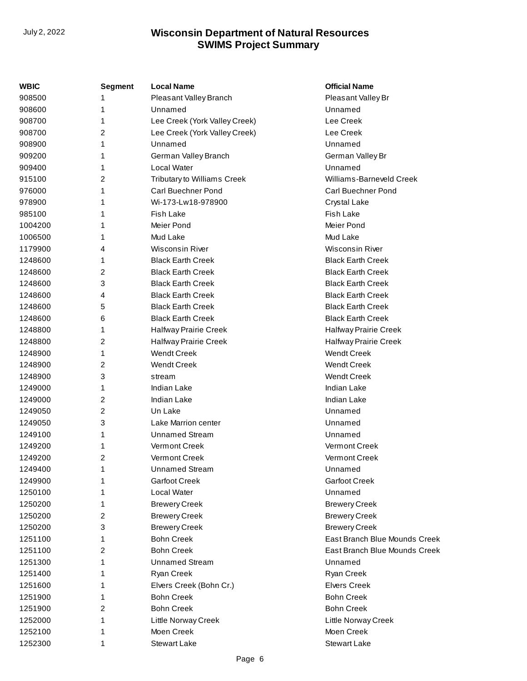| <b>WBIC</b> | Segment | <b>Local Name</b>             | <b>Official Name</b>          |
|-------------|---------|-------------------------------|-------------------------------|
| 908500      | 1       | Pleasant Valley Branch        | Pleasant Valley Br            |
| 908600      | 1       | Unnamed                       | Unnamed                       |
| 908700      | 1       | Lee Creek (York Valley Creek) | Lee Creek                     |
| 908700      | 2       | Lee Creek (York Valley Creek) | Lee Creek                     |
| 908900      | 1       | Unnamed                       | Unnamed                       |
| 909200      | 1       | German Valley Branch          | German Valley Br              |
| 909400      | 1       | Local Water                   | Unnamed                       |
| 915100      | 2       | Tributary to Williams Creek   | Williams-Barneveld Creek      |
| 976000      | 1       | Carl Buechner Pond            | <b>Carl Buechner Pond</b>     |
| 978900      | 1       | Wi-173-Lw18-978900            | Crystal Lake                  |
| 985100      | 1       | Fish Lake                     | <b>Fish Lake</b>              |
| 1004200     | 1       | Meier Pond                    | Meier Pond                    |
| 1006500     | 1       | Mud Lake                      | Mud Lake                      |
| 1179900     | 4       | Wisconsin River               | Wisconsin River               |
| 1248600     | 1       | <b>Black Earth Creek</b>      | <b>Black Earth Creek</b>      |
| 1248600     | 2       | <b>Black Earth Creek</b>      | <b>Black Earth Creek</b>      |
| 1248600     | 3       | <b>Black Earth Creek</b>      | <b>Black Earth Creek</b>      |
| 1248600     | 4       | <b>Black Earth Creek</b>      | <b>Black Earth Creek</b>      |
| 1248600     | 5       | <b>Black Earth Creek</b>      | <b>Black Earth Creek</b>      |
| 1248600     | 6       | <b>Black Earth Creek</b>      | <b>Black Earth Creek</b>      |
| 1248800     | 1       | Halfway Prairie Creek         | <b>Halfway Prairie Creek</b>  |
| 1248800     | 2       | Halfway Prairie Creek         | Halfway Prairie Creek         |
| 1248900     | 1       | <b>Wendt Creek</b>            | <b>Wendt Creek</b>            |
| 1248900     | 2       | <b>Wendt Creek</b>            | <b>Wendt Creek</b>            |
| 1248900     | 3       | stream                        | <b>Wendt Creek</b>            |
| 1249000     | 1       | Indian Lake                   | <b>Indian Lake</b>            |
| 1249000     | 2       | Indian Lake                   | <b>Indian Lake</b>            |
| 1249050     | 2       | Un Lake                       | Unnamed                       |
| 1249050     | 3       | Lake Marrion center           | Unnamed                       |
| 1249100     | 1       | <b>Unnamed Stream</b>         | Unnamed                       |
| 1249200     | 1       | Vermont Creek                 | Vermont Creek                 |
| 1249200     | 2       | Vermont Creek                 | Vermont Creek                 |
| 1249400     | 1       | <b>Unnamed Stream</b>         | Unnamed                       |
| 1249900     | 1       | <b>Garfoot Creek</b>          | <b>Garfoot Creek</b>          |
| 1250100     | 1       | Local Water                   | Unnamed                       |
| 1250200     | 1       | <b>Brewery Creek</b>          | <b>Brewery Creek</b>          |
| 1250200     | 2       | <b>Brewery Creek</b>          | <b>Brewery Creek</b>          |
| 1250200     | 3       | <b>Brewery Creek</b>          | <b>Brewery Creek</b>          |
| 1251100     | 1       | <b>Bohn Creek</b>             | East Branch Blue Mounds Creek |
| 1251100     | 2       | <b>Bohn Creek</b>             | East Branch Blue Mounds Creek |
| 1251300     | 1       | <b>Unnamed Stream</b>         | Unnamed                       |
| 1251400     | 1       | Ryan Creek                    | Ryan Creek                    |
| 1251600     | 1       | Elvers Creek (Bohn Cr.)       | <b>Elvers Creek</b>           |
| 1251900     | 1       | <b>Bohn Creek</b>             | <b>Bohn Creek</b>             |
| 1251900     | 2       | <b>Bohn Creek</b>             | <b>Bohn Creek</b>             |
| 1252000     | 1       | Little Norway Creek           | Little Norway Creek           |
| 1252100     | 1       | Moen Creek                    | Moen Creek                    |
| 1252300     | 1       | <b>Stewart Lake</b>           | <b>Stewart Lake</b>           |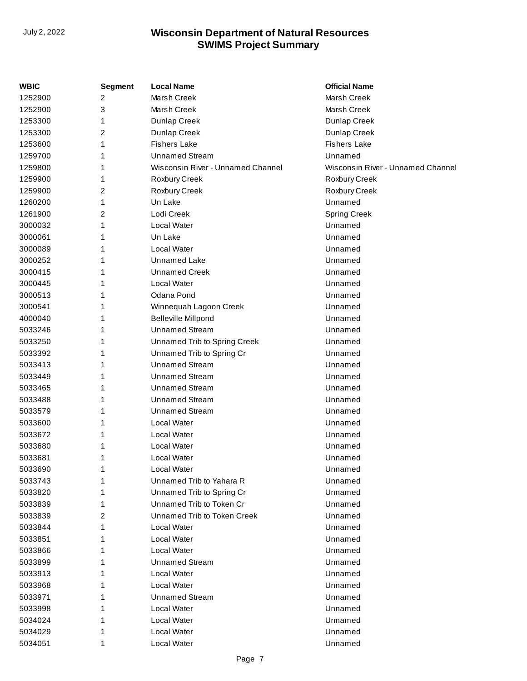| WBIC    | <b>Segment</b> | <b>Local Name</b>                 | <b>Official Name</b>              |
|---------|----------------|-----------------------------------|-----------------------------------|
| 1252900 | 2              | Marsh Creek                       | Marsh Creek                       |
| 1252900 | 3              | Marsh Creek                       | Marsh Creek                       |
| 1253300 | 1              | Dunlap Creek                      | Dunlap Creek                      |
| 1253300 | 2              | Dunlap Creek                      | Dunlap Creek                      |
| 1253600 | 1              | <b>Fishers Lake</b>               | <b>Fishers Lake</b>               |
| 1259700 | 1              | <b>Unnamed Stream</b>             | Unnamed                           |
| 1259800 | 1              | Wisconsin River - Unnamed Channel | Wisconsin River - Unnamed Channel |
| 1259900 | 1              | Roxbury Creek                     | Roxbury Creek                     |
| 1259900 | 2              | Roxbury Creek                     | Roxbury Creek                     |
| 1260200 | 1              | Un Lake                           | Unnamed                           |
| 1261900 | 2              | Lodi Creek                        | <b>Spring Creek</b>               |
| 3000032 | 1              | Local Water                       | Unnamed                           |
| 3000061 | 1              | Un Lake                           | Unnamed                           |
| 3000089 | 1              | Local Water                       | Unnamed                           |
| 3000252 |                | <b>Unnamed Lake</b>               | Unnamed                           |
| 3000415 |                | <b>Unnamed Creek</b>              | Unnamed                           |
| 3000445 | 1              | Local Water                       | Unnamed                           |
| 3000513 | 1              | Odana Pond                        | Unnamed                           |
| 3000541 | 1              | Winnequah Lagoon Creek            | Unnamed                           |
| 4000040 | 1              | <b>Belleville Millpond</b>        | Unnamed                           |
| 5033246 | 1              | <b>Unnamed Stream</b>             | Unnamed                           |
| 5033250 | 1              | Unnamed Trib to Spring Creek      | Unnamed                           |
| 5033392 | 1              | Unnamed Trib to Spring Cr         | Unnamed                           |
| 5033413 |                | <b>Unnamed Stream</b>             | Unnamed                           |
| 5033449 | 1              | <b>Unnamed Stream</b>             | Unnamed                           |
| 5033465 | 1              | <b>Unnamed Stream</b>             | Unnamed                           |
| 5033488 | 1              | <b>Unnamed Stream</b>             | Unnamed                           |
| 5033579 |                | <b>Unnamed Stream</b>             | Unnamed                           |
| 5033600 | 1              | Local Water                       | Unnamed                           |
| 5033672 | 1              | Local Water                       | Unnamed                           |
| 5033680 | 1              | <b>Local Water</b>                | Unnamed                           |
| 5033681 | 1              | Local Water                       | Unnamed                           |
| 5033690 | 1              | Local Water                       | Unnamed                           |
| 5033743 |                | Unnamed Trib to Yahara R          | Unnamed                           |
| 5033820 | 1              | Unnamed Trib to Spring Cr         | Unnamed                           |
| 5033839 | 1              | Unnamed Trib to Token Cr          | Unnamed                           |
| 5033839 | 2              | Unnamed Trib to Token Creek       | Unnamed                           |
| 5033844 | 1              | Local Water                       | Unnamed                           |
| 5033851 | 1              | Local Water                       | Unnamed                           |
| 5033866 |                | Local Water                       | Unnamed                           |
| 5033899 |                | <b>Unnamed Stream</b>             | Unnamed                           |
| 5033913 | 1              | Local Water                       | Unnamed                           |
| 5033968 |                | Local Water                       | Unnamed                           |
| 5033971 |                | <b>Unnamed Stream</b>             | Unnamed                           |
| 5033998 |                | Local Water                       | Unnamed                           |
| 5034024 | 1              | Local Water                       | Unnamed                           |
| 5034029 |                | Local Water                       | Unnamed                           |
| 5034051 | 1              | Local Water                       | Unnamed                           |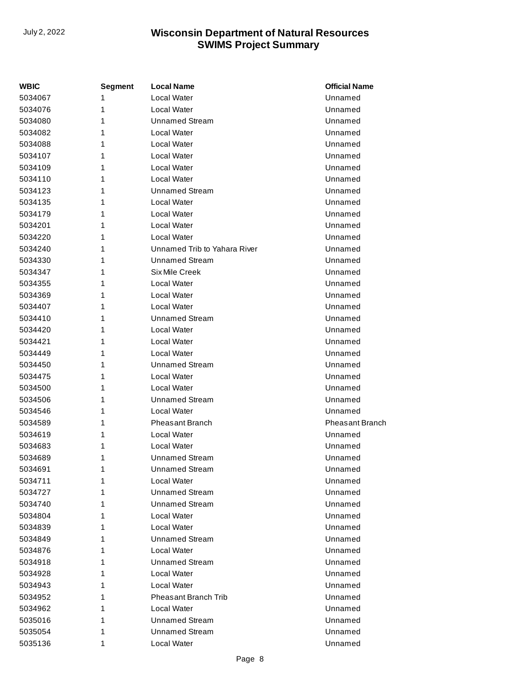| WBIC    | <b>Segment</b> | <b>Local Name</b>            | <b>Official Name</b> |
|---------|----------------|------------------------------|----------------------|
| 5034067 | 1              | Local Water                  | Unnamed              |
| 5034076 | 1              | Local Water                  | Unnamed              |
| 5034080 | 1              | Unnamed Stream               | Unnamed              |
| 5034082 | 1              | Local Water                  | Unnamed              |
| 5034088 | 1              | Local Water                  | Unnamed              |
| 5034107 | 1              | Local Water                  | Unnamed              |
| 5034109 | 1              | Local Water                  | Unnamed              |
| 5034110 | 1              | Local Water                  | Unnamed              |
| 5034123 | 1              | Unnamed Stream               | Unnamed              |
| 5034135 | 1              | Local Water                  | Unnamed              |
| 5034179 | 1              | Local Water                  | Unnamed              |
| 5034201 | 1              | <b>Local Water</b>           | Unnamed              |
| 5034220 | 1              | Local Water                  | Unnamed              |
| 5034240 | 1              | Unnamed Trib to Yahara River | Unnamed              |
| 5034330 | 1              | <b>Unnamed Stream</b>        | Unnamed              |
| 5034347 | 1              | Six Mile Creek               | Unnamed              |
| 5034355 | 1              | Local Water                  | Unnamed              |
| 5034369 | 1              | Local Water                  | Unnamed              |
| 5034407 | 1              | Local Water                  | Unnamed              |
| 5034410 | 1              | Unnamed Stream               | Unnamed              |
| 5034420 | 1              | Local Water                  | Unnamed              |
| 5034421 | 1              | Local Water                  | Unnamed              |
| 5034449 | 1              | Local Water                  | Unnamed              |
| 5034450 | 1              | Unnamed Stream               | Unnamed              |
| 5034475 | 1              | Local Water                  | Unnamed              |
| 5034500 | 1              | Local Water                  | Unnamed              |
| 5034506 | 1              | <b>Unnamed Stream</b>        | Unnamed              |
| 5034546 | 1              | Local Water                  | Unnamed              |
| 5034589 | 1              | <b>Pheasant Branch</b>       | Pheasant Branch      |
| 5034619 | 1              | Local Water                  | Unnamed              |
| 5034683 | 1              | Local Water                  | Unnamed              |
| 5034689 | 1              | Unnamed Stream               | Unnamed              |
| 5034691 | 1              | Unnamed Stream               | Unnamed              |
| 5034711 | 1              | Local Water                  | Unnamed              |
| 5034727 | 1              | <b>Unnamed Stream</b>        | Unnamed              |
| 5034740 | 1              | Unnamed Stream               | Unnamed              |
| 5034804 | 1              | Local Water                  | Unnamed              |
| 5034839 | 1              | Local Water                  | Unnamed              |
| 5034849 | 1              | <b>Unnamed Stream</b>        | Unnamed              |
| 5034876 | 1              | Local Water                  | Unnamed              |
| 5034918 | 1              | <b>Unnamed Stream</b>        | Unnamed              |
| 5034928 | 1              | Local Water                  | Unnamed              |
| 5034943 | 1              | Local Water                  | Unnamed              |
| 5034952 | 1              | Pheasant Branch Trib         | Unnamed              |
| 5034962 | 1              | Local Water                  | Unnamed              |
| 5035016 | 1              | Unnamed Stream               | Unnamed              |
| 5035054 | 1              | <b>Unnamed Stream</b>        | Unnamed              |
| 5035136 | 1              | Local Water                  | Unnamed              |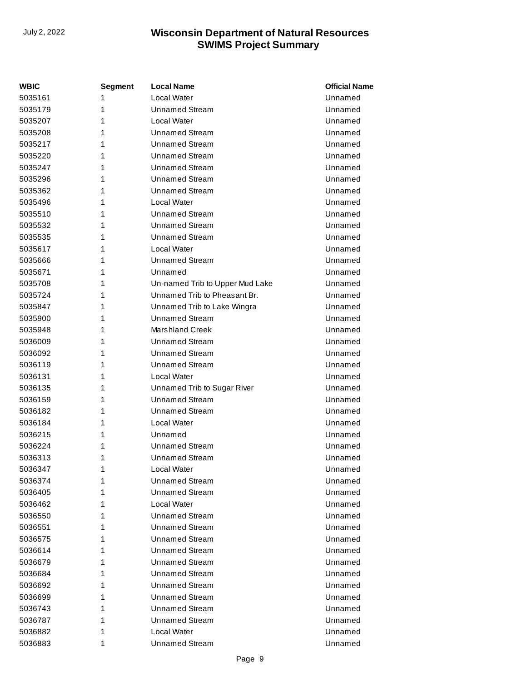| WBIC    | <b>Segment</b> | <b>Local Name</b>               | <b>Official Name</b> |
|---------|----------------|---------------------------------|----------------------|
| 5035161 | 1              | Local Water                     | Unnamed              |
| 5035179 | 1              | <b>Unnamed Stream</b>           | Unnamed              |
| 5035207 | 1              | Local Water                     | Unnamed              |
| 5035208 | 1              | Unnamed Stream                  | Unnamed              |
| 5035217 | 1              | <b>Unnamed Stream</b>           | Unnamed              |
| 5035220 | 1              | <b>Unnamed Stream</b>           | Unnamed              |
| 5035247 | 1              | <b>Unnamed Stream</b>           | Unnamed              |
| 5035296 | 1              | Unnamed Stream                  | Unnamed              |
| 5035362 | 1              | <b>Unnamed Stream</b>           | Unnamed              |
| 5035496 | 1              | Local Water                     | Unnamed              |
| 5035510 | 1              | <b>Unnamed Stream</b>           | Unnamed              |
| 5035532 | 1              | <b>Unnamed Stream</b>           | Unnamed              |
| 5035535 | 1              | <b>Unnamed Stream</b>           | Unnamed              |
| 5035617 | 1              | Local Water                     | Unnamed              |
| 5035666 | 1              | <b>Unnamed Stream</b>           | Unnamed              |
| 5035671 | 1              | Unnamed                         | Unnamed              |
| 5035708 | 1              | Un-named Trib to Upper Mud Lake | Unnamed              |
| 5035724 | 1              | Unnamed Trib to Pheasant Br.    | Unnamed              |
| 5035847 | 1              | Unnamed Trib to Lake Wingra     | Unnamed              |
| 5035900 | 1              | Unnamed Stream                  | Unnamed              |
| 5035948 | 1              | Marshland Creek                 | Unnamed              |
| 5036009 | 1              | Unnamed Stream                  | Unnamed              |
| 5036092 | 1              | <b>Unnamed Stream</b>           | Unnamed              |
| 5036119 | 1              | Unnamed Stream                  | Unnamed              |
| 5036131 | 1              | Local Water                     | Unnamed              |
| 5036135 | 1              | Unnamed Trib to Sugar River     | Unnamed              |
| 5036159 | 1              | <b>Unnamed Stream</b>           | Unnamed              |
| 5036182 | 1              | <b>Unnamed Stream</b>           | Unnamed              |
| 5036184 | 1              | Local Water                     | Unnamed              |
| 5036215 | 1              | Unnamed                         | Unnamed              |
| 5036224 | 1              | <b>Unnamed Stream</b>           | Unnamed              |
| 5036313 | 1              | <b>Unnamed Stream</b>           | Unnamed              |
| 5036347 | 1              | Local Water                     | Unnamed              |
| 5036374 | 1              | Unnamed Stream                  | Unnamed              |
| 5036405 | 1              | <b>Unnamed Stream</b>           | Unnamed              |
| 5036462 | 1              | Local Water                     | Unnamed              |
| 5036550 | 1              | <b>Unnamed Stream</b>           | Unnamed              |
| 5036551 | 1              | <b>Unnamed Stream</b>           | Unnamed              |
| 5036575 | 1              | <b>Unnamed Stream</b>           | Unnamed              |
| 5036614 | 1              | Unnamed Stream                  | Unnamed              |
| 5036679 | 1              | <b>Unnamed Stream</b>           | Unnamed              |
| 5036684 | 1              | <b>Unnamed Stream</b>           | Unnamed              |
| 5036692 | 1              | <b>Unnamed Stream</b>           | Unnamed              |
| 5036699 | 1              | Unnamed Stream                  | Unnamed              |
| 5036743 | 1              | <b>Unnamed Stream</b>           | Unnamed              |
| 5036787 | 1              | <b>Unnamed Stream</b>           | Unnamed              |
| 5036882 | 1              | Local Water                     | Unnamed              |
| 5036883 | 1              | <b>Unnamed Stream</b>           | Unnamed              |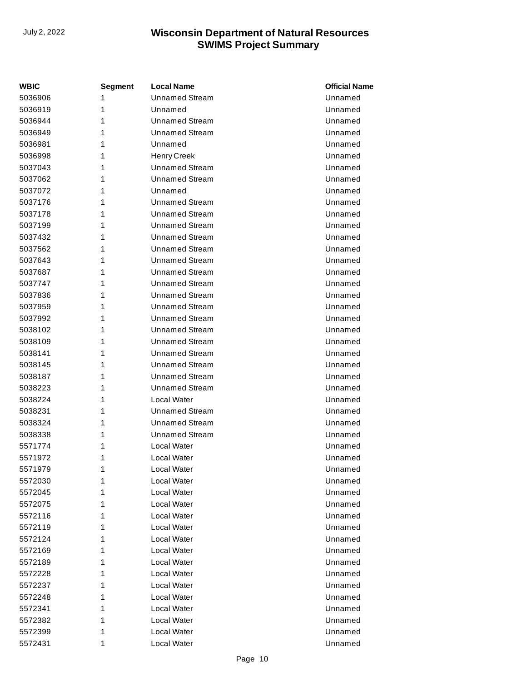| <b>WBIC</b> | Segment | <b>Local Name</b>     | <b>Official Name</b> |
|-------------|---------|-----------------------|----------------------|
| 5036906     | 1       | <b>Unnamed Stream</b> | Unnamed              |
| 5036919     | 1       | Unnamed               | Unnamed              |
| 5036944     | 1       | Unnamed Stream        | Unnamed              |
| 5036949     | 1       | <b>Unnamed Stream</b> | Unnamed              |
| 5036981     | 1       | Unnamed               | Unnamed              |
| 5036998     | 1       | <b>Henry Creek</b>    | Unnamed              |
| 5037043     | 1       | <b>Unnamed Stream</b> | Unnamed              |
| 5037062     | 1       | <b>Unnamed Stream</b> | Unnamed              |
| 5037072     | 1       | Unnamed               | Unnamed              |
| 5037176     | 1       | Unnamed Stream        | Unnamed              |
| 5037178     | 1       | <b>Unnamed Stream</b> | Unnamed              |
| 5037199     | 1       | <b>Unnamed Stream</b> | Unnamed              |
| 5037432     | 1       | <b>Unnamed Stream</b> | Unnamed              |
| 5037562     | 1       | <b>Unnamed Stream</b> | Unnamed              |
| 5037643     | 1       | <b>Unnamed Stream</b> | Unnamed              |
| 5037687     | 1       | <b>Unnamed Stream</b> | Unnamed              |
| 5037747     | 1       | <b>Unnamed Stream</b> | Unnamed              |
| 5037836     | 1       | <b>Unnamed Stream</b> | Unnamed              |
| 5037959     | 1       | <b>Unnamed Stream</b> | Unnamed              |
| 5037992     | 1       | <b>Unnamed Stream</b> | Unnamed              |
| 5038102     | 1       | <b>Unnamed Stream</b> | Unnamed              |
| 5038109     | 1       | <b>Unnamed Stream</b> | Unnamed              |
| 5038141     | 1       | <b>Unnamed Stream</b> | Unnamed              |
| 5038145     | 1       | <b>Unnamed Stream</b> | Unnamed              |
| 5038187     | 1       | <b>Unnamed Stream</b> | Unnamed              |
| 5038223     | 1       | <b>Unnamed Stream</b> | Unnamed              |
| 5038224     | 1       | Local Water           | Unnamed              |
| 5038231     | 1       | <b>Unnamed Stream</b> | Unnamed              |
| 5038324     | 1       | <b>Unnamed Stream</b> | Unnamed              |
| 5038338     | 1       | <b>Unnamed Stream</b> | Unnamed              |
| 5571774     | 1       | Local Water           | Unnamed              |
| 5571972     | 1       | Local Water           | Unnamed              |
| 5571979     | 1       | Local Water           | Unnamed              |
| 5572030     | 1       | Local Water           | Unnamed              |
| 5572045     | 1       | Local Water           | Unnamed              |
| 5572075     | 1       | Local Water           | Unnamed              |
| 5572116     | 1       | Local Water           | Unnamed              |
| 5572119     | 1       | Local Water           | Unnamed              |
| 5572124     | 1       | Local Water           | Unnamed              |
| 5572169     | 1       | Local Water           | Unnamed              |
| 5572189     | 1       | Local Water           | Unnamed              |
| 5572228     | 1       | Local Water           | Unnamed              |
| 5572237     | 1       | Local Water           | Unnamed              |
| 5572248     | 1       | Local Water           | Unnamed              |
| 5572341     | 1       | Local Water           | Unnamed              |
| 5572382     | 1       | Local Water           | Unnamed              |
| 5572399     | 1       | Local Water           | Unnamed              |
| 5572431     | 1       | Local Water           | Unnamed              |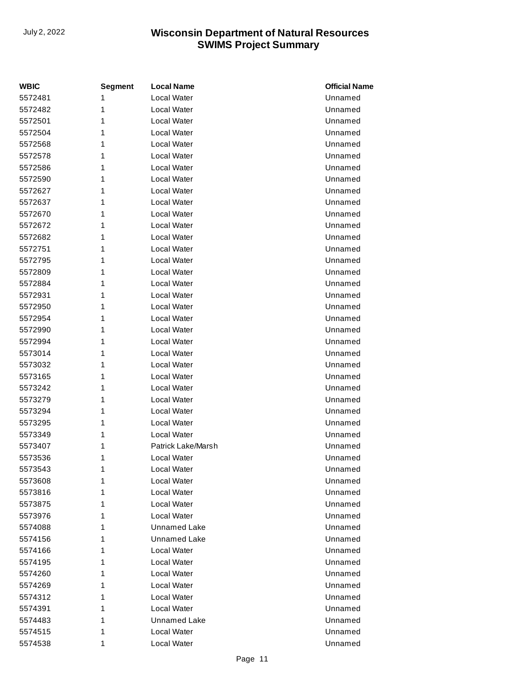| <b>WBIC</b> | <b>Segment</b> | <b>Local Name</b>   | <b>Official Name</b> |
|-------------|----------------|---------------------|----------------------|
| 5572481     | 1              | Local Water         | Unnamed              |
| 5572482     | 1              | Local Water         | Unnamed              |
| 5572501     | 1              | Local Water         | Unnamed              |
| 5572504     | 1              | Local Water         | Unnamed              |
| 5572568     | 1              | Local Water         | Unnamed              |
| 5572578     | 1              | Local Water         | Unnamed              |
| 5572586     | 1              | Local Water         | Unnamed              |
| 5572590     | 1              | Local Water         | Unnamed              |
| 5572627     | 1              | Local Water         | Unnamed              |
| 5572637     | 1              | Local Water         | Unnamed              |
| 5572670     | 1              | Local Water         | Unnamed              |
| 5572672     | 1              | Local Water         | Unnamed              |
| 5572682     | 1              | Local Water         | Unnamed              |
| 5572751     | 1              | Local Water         | Unnamed              |
| 5572795     | 1              | Local Water         | Unnamed              |
| 5572809     | 1              | Local Water         | Unnamed              |
| 5572884     | 1              | Local Water         | Unnamed              |
| 5572931     | 1              | Local Water         | Unnamed              |
| 5572950     | 1              | Local Water         | Unnamed              |
| 5572954     | 1              | Local Water         | Unnamed              |
| 5572990     | 1              | Local Water         | Unnamed              |
| 5572994     | 1              | Local Water         | Unnamed              |
| 5573014     | 1              | Local Water         | Unnamed              |
| 5573032     | 1              | Local Water         | Unnamed              |
| 5573165     | 1              | Local Water         | Unnamed              |
| 5573242     | 1              | Local Water         | Unnamed              |
| 5573279     | 1              | Local Water         | Unnamed              |
| 5573294     | 1              | Local Water         | Unnamed              |
| 5573295     | 1              | Local Water         | Unnamed              |
| 5573349     | 1              | Local Water         | Unnamed              |
| 5573407     | 1              | Patrick Lake/Marsh  | Unnamed              |
| 5573536     | 1              | Local Water         | Unnamed              |
| 5573543     | 1              | Local Water         | Unnamed              |
| 5573608     | 1              | Local Water         | Unnamed              |
| 5573816     | 1              | Local Water         | Unnamed              |
| 5573875     | 1              | Local Water         | Unnamed              |
| 5573976     | 1              | Local Water         | Unnamed              |
| 5574088     | 1              | <b>Unnamed Lake</b> | Unnamed              |
| 5574156     | 1              | <b>Unnamed Lake</b> | Unnamed              |
| 5574166     | 1              | Local Water         | Unnamed              |
| 5574195     | 1              | Local Water         | Unnamed              |
| 5574260     | 1              | Local Water         | Unnamed              |
| 5574269     | 1              | Local Water         | Unnamed              |
| 5574312     | 1              | Local Water         | Unnamed              |
| 5574391     | 1              | Local Water         | Unnamed              |
| 5574483     | 1              | Unnamed Lake        | Unnamed              |
| 5574515     | 1              | Local Water         | Unnamed              |
| 5574538     | 1              | Local Water         | Unnamed              |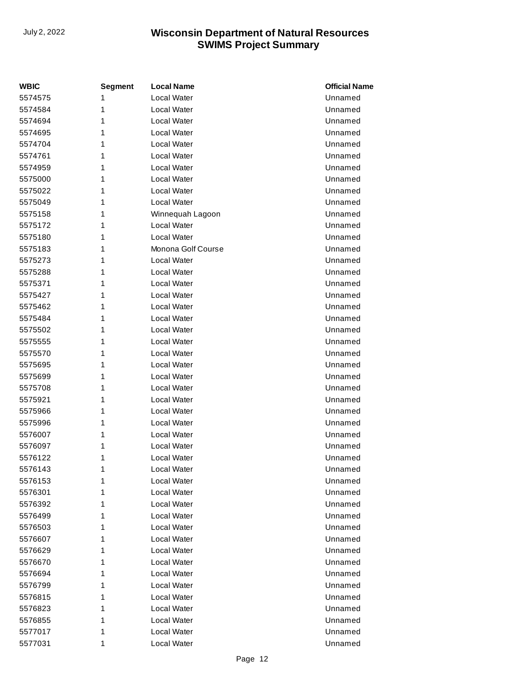| <b>WBIC</b> | <b>Segment</b> | <b>Local Name</b>  | <b>Official Name</b> |
|-------------|----------------|--------------------|----------------------|
| 5574575     | 1              | <b>Local Water</b> | Unnamed              |
| 5574584     | 1              | <b>Local Water</b> | Unnamed              |
| 5574694     | 1              | Local Water        | Unnamed              |
| 5574695     | 1              | Local Water        | Unnamed              |
| 5574704     | 1              | Local Water        | Unnamed              |
| 5574761     | 1              | <b>Local Water</b> | Unnamed              |
| 5574959     | 1              | Local Water        | Unnamed              |
| 5575000     | 1              | Local Water        | Unnamed              |
| 5575022     | 1              | Local Water        | Unnamed              |
| 5575049     | 1              | <b>Local Water</b> | Unnamed              |
| 5575158     | 1              | Winnequah Lagoon   | Unnamed              |
| 5575172     | 1              | Local Water        | Unnamed              |
| 5575180     | 1              | Local Water        | Unnamed              |
| 5575183     | 1              | Monona Golf Course | Unnamed              |
| 5575273     | 1              | Local Water        | Unnamed              |
| 5575288     | 1              | <b>Local Water</b> | Unnamed              |
| 5575371     | 1              | Local Water        | Unnamed              |
| 5575427     | 1              | <b>Local Water</b> | Unnamed              |
| 5575462     | 1              | <b>Local Water</b> | Unnamed              |
| 5575484     | 1              | Local Water        | Unnamed              |
| 5575502     | 1              | Local Water        | Unnamed              |
| 5575555     | 1              | <b>Local Water</b> | Unnamed              |
| 5575570     | 1              | Local Water        | Unnamed              |
| 5575695     | 1              | Local Water        | Unnamed              |
| 5575699     | 1              | Local Water        | Unnamed              |
| 5575708     | 1              | <b>Local Water</b> | Unnamed              |
| 5575921     | 1              | <b>Local Water</b> | Unnamed              |
| 5575966     | 1              | Local Water        | Unnamed              |
| 5575996     | 1              | <b>Local Water</b> | Unnamed              |
| 5576007     | 1              | <b>Local Water</b> | Unnamed              |
| 5576097     | 1              | Local Water        | Unnamed              |
| 5576122     | 1              | Local Water        | Unnamed              |
| 5576143     | 1              | Local Water        | Unnamed              |
| 5576153     | 1              | Local Water        | Unnamed              |
| 5576301     | 1              | Local Water        | Unnamed              |
| 5576392     | 1              | Local Water        | Unnamed              |
| 5576499     | 1              | Local Water        | Unnamed              |
| 5576503     | 1              | Local Water        | Unnamed              |
| 5576607     | 1              | Local Water        | Unnamed              |
| 5576629     | 1              | Local Water        | Unnamed              |
| 5576670     | 1              | Local Water        | Unnamed              |
| 5576694     | 1              | Local Water        | Unnamed              |
| 5576799     | 1              | Local Water        | Unnamed              |
| 5576815     | 1              | Local Water        | Unnamed              |
| 5576823     | 1              | Local Water        | Unnamed              |
| 5576855     | 1              | Local Water        | Unnamed              |
| 5577017     | 1              | Local Water        | Unnamed              |
| 5577031     | 1              | Local Water        | Unnamed              |